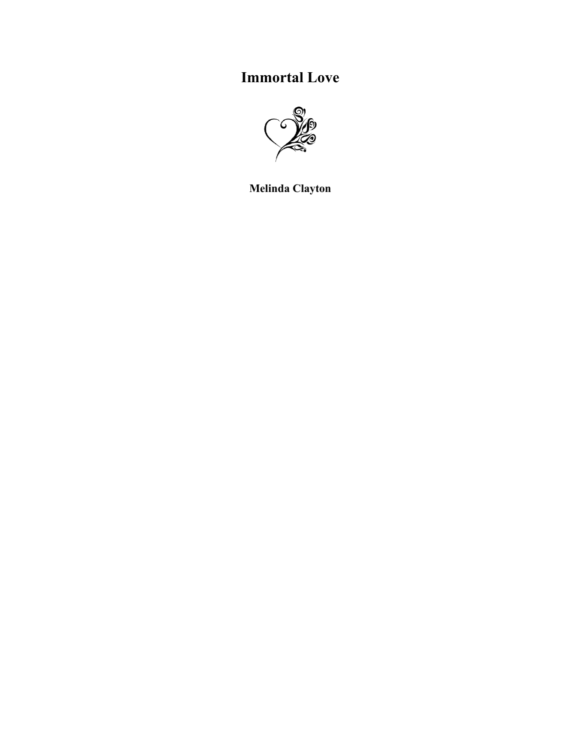## **Immortal Love**



**Melinda Clayton**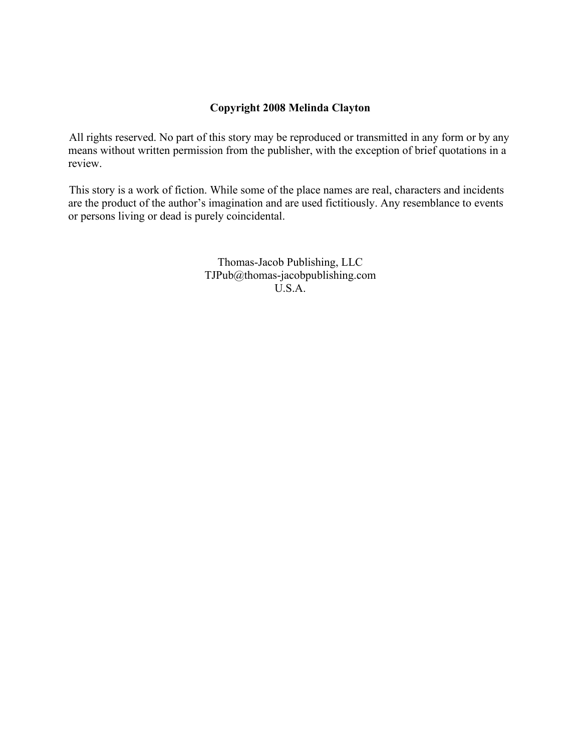## **Copyright 2008 Melinda Clayton**

All rights reserved. No part of this story may be reproduced or transmitted in any form or by any means without written permission from the publisher, with the exception of brief quotations in a review.

This story is a work of fiction. While some of the place names are real, characters and incidents are the product of the author's imagination and are used fictitiously. Any resemblance to events or persons living or dead is purely coincidental.

> Thomas-Jacob Publishing, LLC TJPub@thomas-jacobpublishing.com U.S.A.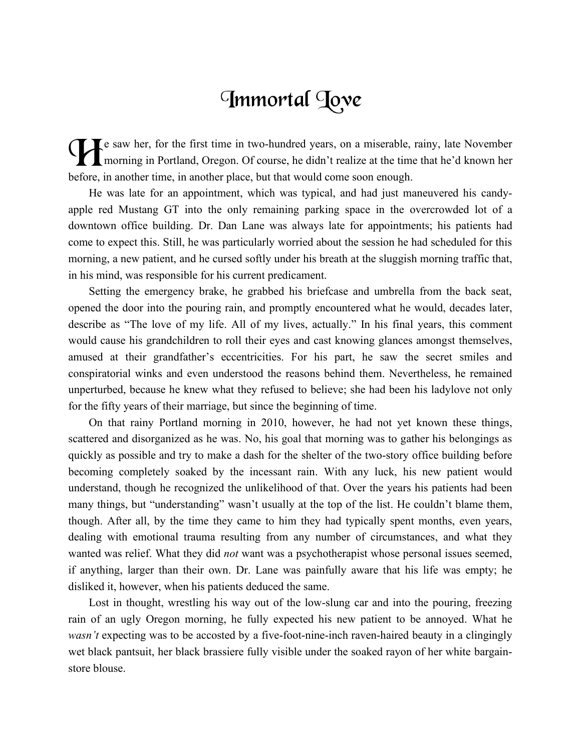## Immortal Toye

e saw her, for the first time in two-hundred years, on a miserable, rainy, late November<br>
morning in Portland, Oregon. Of course, he didn't realize at the time that he'd known her<br>
hefore in another time in another place, morning in Portland, Oregon. Of course, he didn't realize at the time that he'd known her before, in another time, in another place, but that would come soon enough.

He was late for an appointment, which was typical, and had just maneuvered his candyapple red Mustang GT into the only remaining parking space in the overcrowded lot of a downtown office building. Dr. Dan Lane was always late for appointments; his patients had come to expect this. Still, he was particularly worried about the session he had scheduled for this morning, a new patient, and he cursed softly under his breath at the sluggish morning traffic that, in his mind, was responsible for his current predicament.

Setting the emergency brake, he grabbed his briefcase and umbrella from the back seat, opened the door into the pouring rain, and promptly encountered what he would, decades later, describe as "The love of my life. All of my lives, actually." In his final years, this comment would cause his grandchildren to roll their eyes and cast knowing glances amongst themselves, amused at their grandfather's eccentricities. For his part, he saw the secret smiles and conspiratorial winks and even understood the reasons behind them. Nevertheless, he remained unperturbed, because he knew what they refused to believe; she had been his ladylove not only for the fifty years of their marriage, but since the beginning of time.

On that rainy Portland morning in 2010, however, he had not yet known these things, scattered and disorganized as he was. No, his goal that morning was to gather his belongings as quickly as possible and try to make a dash for the shelter of the two-story office building before becoming completely soaked by the incessant rain. With any luck, his new patient would understand, though he recognized the unlikelihood of that. Over the years his patients had been many things, but "understanding" wasn't usually at the top of the list. He couldn't blame them, though. After all, by the time they came to him they had typically spent months, even years, dealing with emotional trauma resulting from any number of circumstances, and what they wanted was relief. What they did *not* want was a psychotherapist whose personal issues seemed, if anything, larger than their own. Dr. Lane was painfully aware that his life was empty; he disliked it, however, when his patients deduced the same.

Lost in thought, wrestling his way out of the low-slung car and into the pouring, freezing rain of an ugly Oregon morning, he fully expected his new patient to be annoyed. What he *wasn't* expecting was to be accosted by a five-foot-nine-inch raven-haired beauty in a clingingly wet black pantsuit, her black brassiere fully visible under the soaked rayon of her white bargainstore blouse.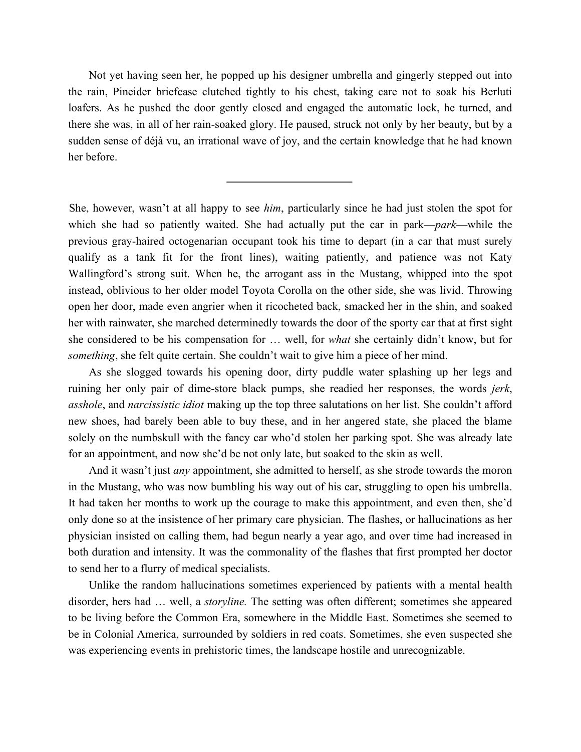Not yet having seen her, he popped up his designer umbrella and gingerly stepped out into the rain, Pineider briefcase clutched tightly to his chest, taking care not to soak his Berluti loafers. As he pushed the door gently closed and engaged the automatic lock, he turned, and there she was, in all of her rain-soaked glory. He paused, struck not only by her beauty, but by a sudden sense of déjà vu, an irrational wave of joy, and the certain knowledge that he had known her before.

She, however, wasn't at all happy to see *him*, particularly since he had just stolen the spot for which she had so patiently waited. She had actually put the car in park—*park*—while the previous gray-haired octogenarian occupant took his time to depart (in a car that must surely qualify as a tank fit for the front lines), waiting patiently, and patience was not Katy Wallingford's strong suit. When he, the arrogant ass in the Mustang, whipped into the spot instead, oblivious to her older model Toyota Corolla on the other side, she was livid. Throwing open her door, made even angrier when it ricocheted back, smacked her in the shin, and soaked her with rainwater, she marched determinedly towards the door of the sporty car that at first sight she considered to be his compensation for … well, for *what* she certainly didn't know, but for *something*, she felt quite certain. She couldn't wait to give him a piece of her mind.

As she slogged towards his opening door, dirty puddle water splashing up her legs and ruining her only pair of dime-store black pumps, she readied her responses, the words *jerk*, *asshole*, and *narcissistic idiot* making up the top three salutations on her list. She couldn't afford new shoes, had barely been able to buy these, and in her angered state, she placed the blame solely on the numbskull with the fancy car who'd stolen her parking spot. She was already late for an appointment, and now she'd be not only late, but soaked to the skin as well.

And it wasn't just *any* appointment, she admitted to herself, as she strode towards the moron in the Mustang, who was now bumbling his way out of his car, struggling to open his umbrella. It had taken her months to work up the courage to make this appointment, and even then, she'd only done so at the insistence of her primary care physician. The flashes, or hallucinations as her physician insisted on calling them, had begun nearly a year ago, and over time had increased in both duration and intensity. It was the commonality of the flashes that first prompted her doctor to send her to a flurry of medical specialists.

Unlike the random hallucinations sometimes experienced by patients with a mental health disorder, hers had … well, a *storyline.* The setting was often different; sometimes she appeared to be living before the Common Era, somewhere in the Middle East. Sometimes she seemed to be in Colonial America, surrounded by soldiers in red coats. Sometimes, she even suspected she was experiencing events in prehistoric times, the landscape hostile and unrecognizable.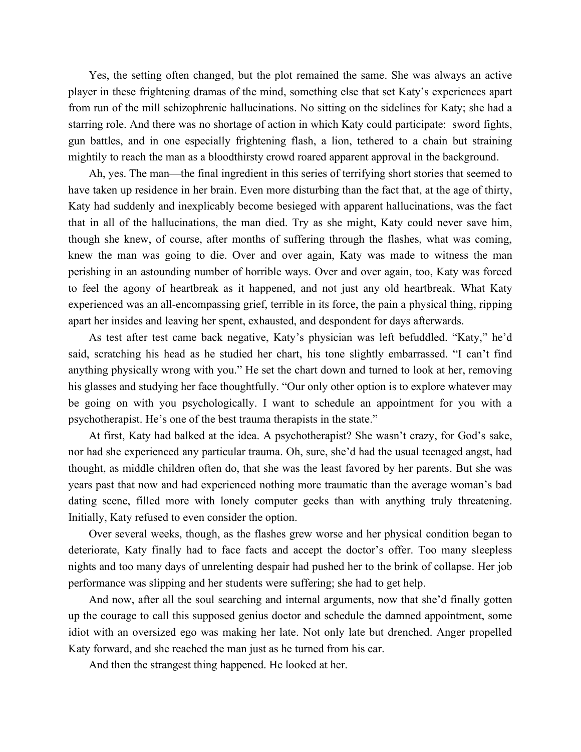Yes, the setting often changed, but the plot remained the same. She was always an active player in these frightening dramas of the mind, something else that set Katy's experiences apart from run of the mill schizophrenic hallucinations. No sitting on the sidelines for Katy; she had a starring role. And there was no shortage of action in which Katy could participate: sword fights, gun battles, and in one especially frightening flash, a lion, tethered to a chain but straining mightily to reach the man as a bloodthirsty crowd roared apparent approval in the background.

Ah, yes. The man—the final ingredient in this series of terrifying short stories that seemed to have taken up residence in her brain. Even more disturbing than the fact that, at the age of thirty, Katy had suddenly and inexplicably become besieged with apparent hallucinations, was the fact that in all of the hallucinations, the man died. Try as she might, Katy could never save him, though she knew, of course, after months of suffering through the flashes, what was coming, knew the man was going to die. Over and over again, Katy was made to witness the man perishing in an astounding number of horrible ways. Over and over again, too, Katy was forced to feel the agony of heartbreak as it happened, and not just any old heartbreak. What Katy experienced was an all-encompassing grief, terrible in its force, the pain a physical thing, ripping apart her insides and leaving her spent, exhausted, and despondent for days afterwards.

As test after test came back negative, Katy's physician was left befuddled. "Katy," he'd said, scratching his head as he studied her chart, his tone slightly embarrassed. "I can't find anything physically wrong with you." He set the chart down and turned to look at her, removing his glasses and studying her face thoughtfully. "Our only other option is to explore whatever may be going on with you psychologically. I want to schedule an appointment for you with a psychotherapist. He's one of the best trauma therapists in the state."

At first, Katy had balked at the idea. A psychotherapist? She wasn't crazy, for God's sake, nor had she experienced any particular trauma. Oh, sure, she'd had the usual teenaged angst, had thought, as middle children often do, that she was the least favored by her parents. But she was years past that now and had experienced nothing more traumatic than the average woman's bad dating scene, filled more with lonely computer geeks than with anything truly threatening. Initially, Katy refused to even consider the option.

Over several weeks, though, as the flashes grew worse and her physical condition began to deteriorate, Katy finally had to face facts and accept the doctor's offer. Too many sleepless nights and too many days of unrelenting despair had pushed her to the brink of collapse. Her job performance was slipping and her students were suffering; she had to get help.

And now, after all the soul searching and internal arguments, now that she'd finally gotten up the courage to call this supposed genius doctor and schedule the damned appointment, some idiot with an oversized ego was making her late. Not only late but drenched. Anger propelled Katy forward, and she reached the man just as he turned from his car.

And then the strangest thing happened. He looked at her.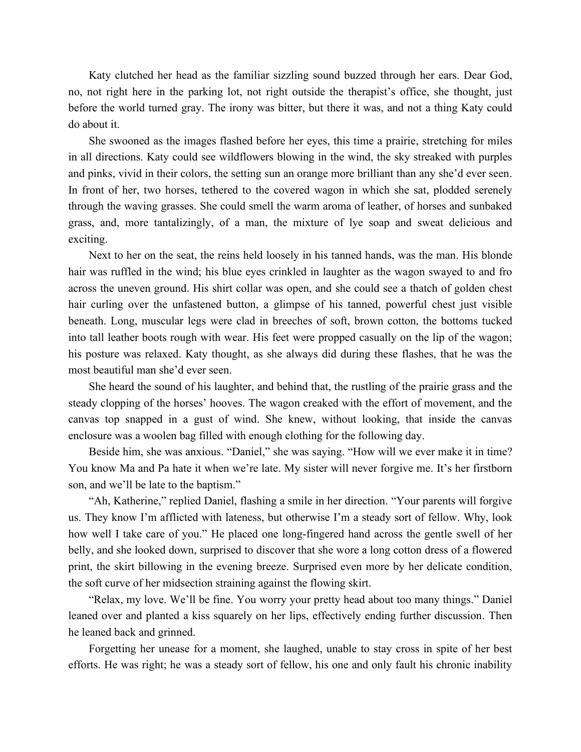Katy clutched her head as the familiar sizzling sound buzzed through her ears. Dear God, no, not right here in the parking lot, not right outside the therapist's office, she thought, just before the world turned gray. The irony was bitter, but there it was, and not a thing Katy could do about it.

She swooned as the images flashed before her eyes, this time a prairie, stretching for miles in all directions. Katy could see wildflowers blowing in the wind, the sky streaked with purples and pinks, vivid in their colors, the setting sun an orange more brilliant than any she'd ever seen. In front of her, two horses, tethered to the covered wagon in which she sat, plodded serenely through the waving grasses. She could smell the warm aroma of leather, of horses and sunbaked grass, and, more tantalizingly, of a man, the mixture of lye soap and sweat delicious and exciting.

Next to her on the seat, the reins held loosely in his tanned hands, was the man. His blonde hair was ruffled in the wind; his blue eyes crinkled in laughter as the wagon swayed to and fro across the uneven ground. His shirt collar was open, and she could see a thatch of golden chest hair curling over the unfastened button, a glimpse of his tanned, powerful chest just visible beneath. Long, muscular legs were clad in breeches of soft, brown cotton, the bottoms tucked into tall leather boots rough with wear. His feet were propped casually on the lip of the wagon; his posture was relaxed. Katy thought, as she always did during these flashes, that he was the most beautiful man she'd ever seen.

She heard the sound of his laughter, and behind that, the rustling of the prairie grass and the steady clopping of the horses' hooves. The wagon creaked with the effort of movement, and the canvas top snapped in a gust of wind. She knew, without looking, that inside the canvas enclosure was a woolen bag filled with enough clothing for the following day.

Beside him, she was anxious. "Daniel," she was saying. "How will we ever make it in time? You know Ma and Pa hate it when we're late. My sister will never forgive me. It's her firstborn son, and we'll be late to the baptism."

"Ah, Katherine," replied Daniel, flashing a smile in her direction. "Your parents will forgive us. They know I'm afflicted with lateness, but otherwise I'm a steady sort of fellow. Why, look how well I take care of you." He placed one long-fingered hand across the gentle swell of her belly, and she looked down, surprised to discover that she wore a long cotton dress of a flowered print, the skirt billowing in the evening breeze. Surprised even more by her delicate condition, the soft curve of her midsection straining against the flowing skirt.

"Relax, my love. We'll be fine. You worry your pretty head about too many things." Daniel leaned over and planted a kiss squarely on her lips, effectively ending further discussion. Then he leaned back and grinned.

Forgetting her unease for a moment, she laughed, unable to stay cross in spite of her best efforts. He was right; he was a steady sort of fellow, his one and only fault his chronic inability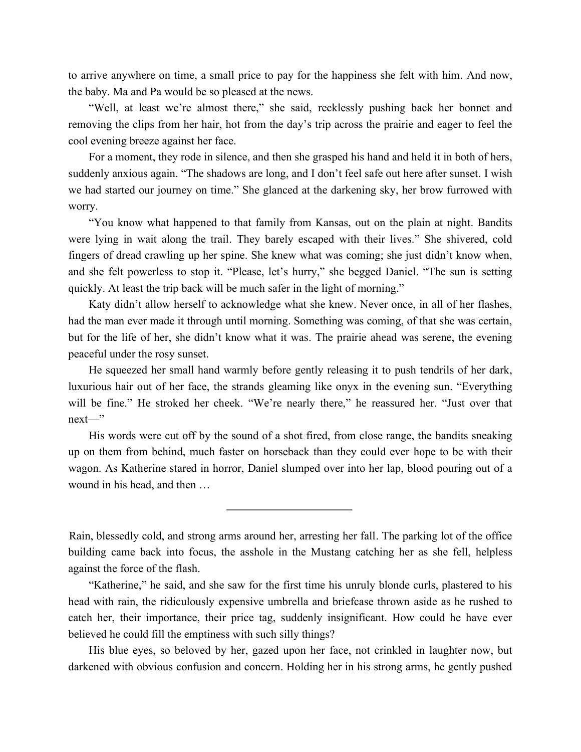to arrive anywhere on time, a small price to pay for the happiness she felt with him. And now, the baby. Ma and Pa would be so pleased at the news.

"Well, at least we're almost there," she said, recklessly pushing back her bonnet and removing the clips from her hair, hot from the day's trip across the prairie and eager to feel the cool evening breeze against her face.

For a moment, they rode in silence, and then she grasped his hand and held it in both of hers, suddenly anxious again. "The shadows are long, and I don't feel safe out here after sunset. I wish we had started our journey on time." She glanced at the darkening sky, her brow furrowed with worry.

"You know what happened to that family from Kansas, out on the plain at night. Bandits were lying in wait along the trail. They barely escaped with their lives." She shivered, cold fingers of dread crawling up her spine. She knew what was coming; she just didn't know when, and she felt powerless to stop it. "Please, let's hurry," she begged Daniel. "The sun is setting quickly. At least the trip back will be much safer in the light of morning."

Katy didn't allow herself to acknowledge what she knew. Never once, in all of her flashes, had the man ever made it through until morning. Something was coming, of that she was certain, but for the life of her, she didn't know what it was. The prairie ahead was serene, the evening peaceful under the rosy sunset.

He squeezed her small hand warmly before gently releasing it to push tendrils of her dark, luxurious hair out of her face, the strands gleaming like onyx in the evening sun. "Everything will be fine." He stroked her cheek. "We're nearly there," he reassured her. "Just over that next—"

His words were cut off by the sound of a shot fired, from close range, the bandits sneaking up on them from behind, much faster on horseback than they could ever hope to be with their wagon. As Katherine stared in horror, Daniel slumped over into her lap, blood pouring out of a wound in his head, and then …

Rain, blessedly cold, and strong arms around her, arresting her fall. The parking lot of the office building came back into focus, the asshole in the Mustang catching her as she fell, helpless against the force of the flash.

"Katherine," he said, and she saw for the first time his unruly blonde curls, plastered to his head with rain, the ridiculously expensive umbrella and briefcase thrown aside as he rushed to catch her, their importance, their price tag, suddenly insignificant. How could he have ever believed he could fill the emptiness with such silly things?

His blue eyes, so beloved by her, gazed upon her face, not crinkled in laughter now, but darkened with obvious confusion and concern. Holding her in his strong arms, he gently pushed